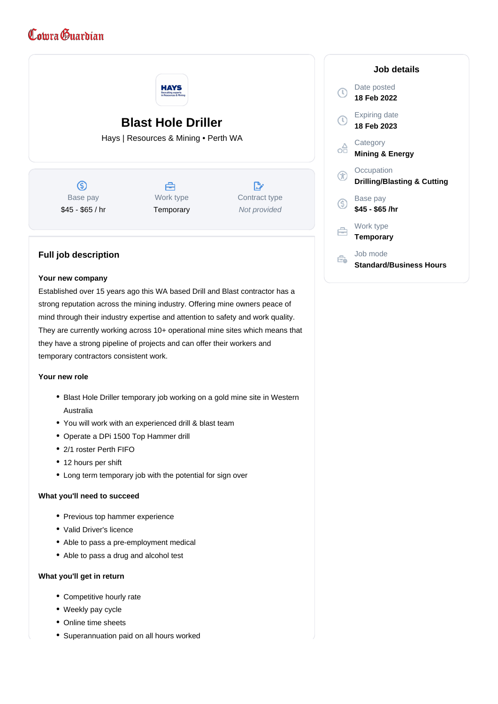# Comra Guardian



## **Your new company**

Established over 15 years ago this WA based Drill and Blast contractor has a strong reputation across the mining industry. Offering mine owners peace of mind through their industry expertise and attention to safety and work quality. They are currently working across 10+ operational mine sites which means that they have a strong pipeline of projects and can offer their workers and temporary contractors consistent work.

## **Your new role**

- Blast Hole Driller temporary job working on a gold mine site in Western Australia
- You will work with an experienced drill & blast team
- Operate a DPi 1500 Top Hammer drill
- 2/1 roster Perth FIFO
- 12 hours per shift
- Long term temporary job with the potential for sign over

## **What you'll need to succeed**

- Previous top hammer experience
- Valid Driver's licence
- Able to pass a pre-employment medical
- Able to pass a drug and alcohol test

#### **What you'll get in return**

- Competitive hourly rate
- Weekly pay cycle
- Online time sheets
- Superannuation paid on all hours worked

|    | Job details                                          |
|----|------------------------------------------------------|
|    | Date posted<br>18 Feb 2022                           |
|    | <b>Expiring date</b><br>18 Feb 2023                  |
|    | Category<br><b>Mining &amp; Energy</b>               |
|    | Occupation<br><b>Drilling/Blasting &amp; Cutting</b> |
| .S | Base pay<br>\$45 - \$65 /hr                          |
|    | Work type<br><b>Temporary</b>                        |
|    | Job mode<br><b>Standard/Business Hours</b>           |